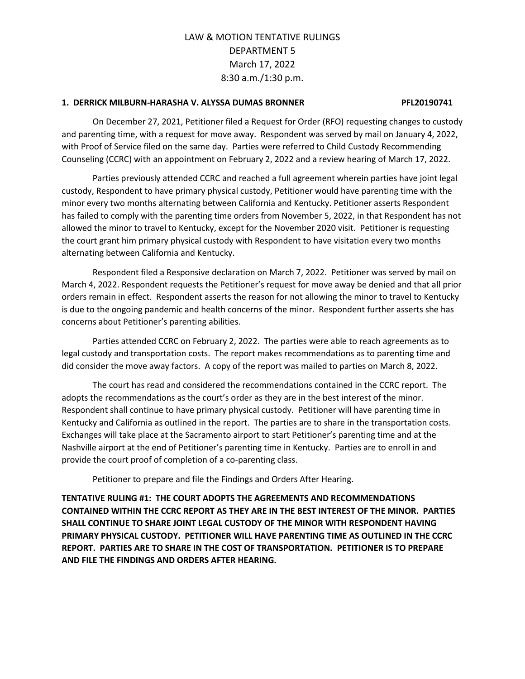#### **1. DERRICK MILBURN-HARASHA V. ALYSSA DUMAS BRONNER PFL20190741**

On December 27, 2021, Petitioner filed a Request for Order (RFO) requesting changes to custody and parenting time, with a request for move away. Respondent was served by mail on January 4, 2022, with Proof of Service filed on the same day. Parties were referred to Child Custody Recommending Counseling (CCRC) with an appointment on February 2, 2022 and a review hearing of March 17, 2022.

Parties previously attended CCRC and reached a full agreement wherein parties have joint legal custody, Respondent to have primary physical custody, Petitioner would have parenting time with the minor every two months alternating between California and Kentucky. Petitioner asserts Respondent has failed to comply with the parenting time orders from November 5, 2022, in that Respondent has not allowed the minor to travel to Kentucky, except for the November 2020 visit. Petitioner is requesting the court grant him primary physical custody with Respondent to have visitation every two months alternating between California and Kentucky.

Respondent filed a Responsive declaration on March 7, 2022. Petitioner was served by mail on March 4, 2022. Respondent requests the Petitioner's request for move away be denied and that all prior orders remain in effect. Respondent asserts the reason for not allowing the minor to travel to Kentucky is due to the ongoing pandemic and health concerns of the minor. Respondent further asserts she has concerns about Petitioner's parenting abilities.

Parties attended CCRC on February 2, 2022. The parties were able to reach agreements as to legal custody and transportation costs. The report makes recommendations as to parenting time and did consider the move away factors. A copy of the report was mailed to parties on March 8, 2022.

The court has read and considered the recommendations contained in the CCRC report. The adopts the recommendations as the court's order as they are in the best interest of the minor. Respondent shall continue to have primary physical custody. Petitioner will have parenting time in Kentucky and California as outlined in the report. The parties are to share in the transportation costs. Exchanges will take place at the Sacramento airport to start Petitioner's parenting time and at the Nashville airport at the end of Petitioner's parenting time in Kentucky. Parties are to enroll in and provide the court proof of completion of a co-parenting class.

Petitioner to prepare and file the Findings and Orders After Hearing.

**TENTATIVE RULING #1: THE COURT ADOPTS THE AGREEMENTS AND RECOMMENDATIONS CONTAINED WITHIN THE CCRC REPORT AS THEY ARE IN THE BEST INTEREST OF THE MINOR. PARTIES SHALL CONTINUE TO SHARE JOINT LEGAL CUSTODY OF THE MINOR WITH RESPONDENT HAVING PRIMARY PHYSICAL CUSTODY. PETITIONER WILL HAVE PARENTING TIME AS OUTLINED IN THE CCRC REPORT. PARTIES ARE TO SHARE IN THE COST OF TRANSPORTATION. PETITIONER IS TO PREPARE AND FILE THE FINDINGS AND ORDERS AFTER HEARING.**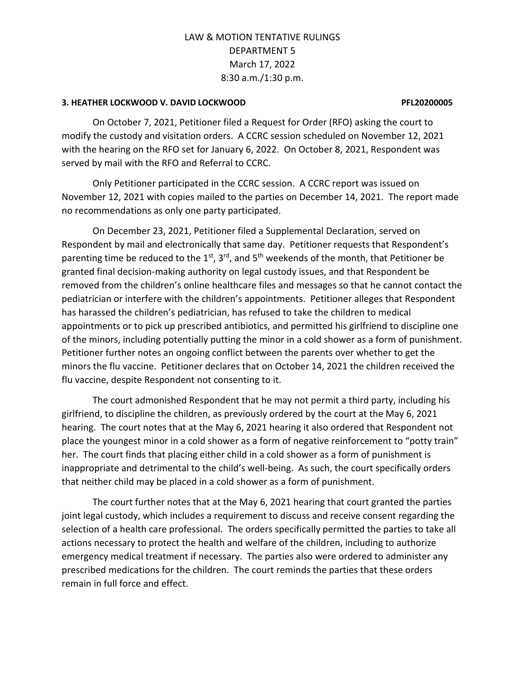### **3. HEATHER LOCKWOOD V. DAVID LOCKWOOD PFL20200005**

On October 7, 2021, Petitioner filed a Request for Order (RFO) asking the court to modify the custody and visitation orders. A CCRC session scheduled on November 12, 2021 with the hearing on the RFO set for January 6, 2022. On October 8, 2021, Respondent was served by mail with the RFO and Referral to CCRC.

Only Petitioner participated in the CCRC session. A CCRC report was issued on November 12, 2021 with copies mailed to the parties on December 14, 2021. The report made no recommendations as only one party participated.

On December 23, 2021, Petitioner filed a Supplemental Declaration, served on Respondent by mail and electronically that same day. Petitioner requests that Respondent's parenting time be reduced to the 1<sup>st</sup>, 3<sup>rd</sup>, and 5<sup>th</sup> weekends of the month, that Petitioner be granted final decision-making authority on legal custody issues, and that Respondent be removed from the children's online healthcare files and messages so that he cannot contact the pediatrician or interfere with the children's appointments. Petitioner alleges that Respondent has harassed the children's pediatrician, has refused to take the children to medical appointments or to pick up prescribed antibiotics, and permitted his girlfriend to discipline one of the minors, including potentially putting the minor in a cold shower as a form of punishment. Petitioner further notes an ongoing conflict between the parents over whether to get the minors the flu vaccine. Petitioner declares that on October 14, 2021 the children received the flu vaccine, despite Respondent not consenting to it.

The court admonished Respondent that he may not permit a third party, including his girlfriend, to discipline the children, as previously ordered by the court at the May 6, 2021 hearing. The court notes that at the May 6, 2021 hearing it also ordered that Respondent not place the youngest minor in a cold shower as a form of negative reinforcement to "potty train" her. The court finds that placing either child in a cold shower as a form of punishment is inappropriate and detrimental to the child's well-being. As such, the court specifically orders that neither child may be placed in a cold shower as a form of punishment.

The court further notes that at the May 6, 2021 hearing that court granted the parties joint legal custody, which includes a requirement to discuss and receive consent regarding the selection of a health care professional. The orders specifically permitted the parties to take all actions necessary to protect the health and welfare of the children, including to authorize emergency medical treatment if necessary. The parties also were ordered to administer any prescribed medications for the children. The court reminds the parties that these orders remain in full force and effect.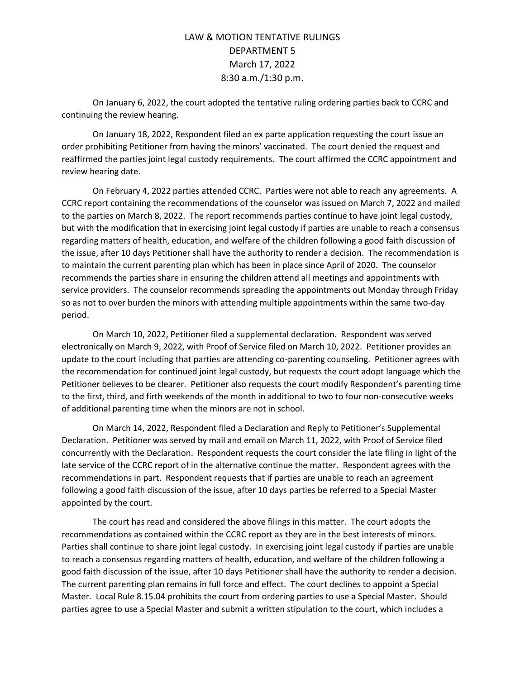On January 6, 2022, the court adopted the tentative ruling ordering parties back to CCRC and continuing the review hearing.

On January 18, 2022, Respondent filed an ex parte application requesting the court issue an order prohibiting Petitioner from having the minors' vaccinated. The court denied the request and reaffirmed the parties joint legal custody requirements. The court affirmed the CCRC appointment and review hearing date.

On February 4, 2022 parties attended CCRC. Parties were not able to reach any agreements. A CCRC report containing the recommendations of the counselor was issued on March 7, 2022 and mailed to the parties on March 8, 2022. The report recommends parties continue to have joint legal custody, but with the modification that in exercising joint legal custody if parties are unable to reach a consensus regarding matters of health, education, and welfare of the children following a good faith discussion of the issue, after 10 days Petitioner shall have the authority to render a decision. The recommendation is to maintain the current parenting plan which has been in place since April of 2020. The counselor recommends the parties share in ensuring the children attend all meetings and appointments with service providers. The counselor recommends spreading the appointments out Monday through Friday so as not to over burden the minors with attending multiple appointments within the same two-day period.

On March 10, 2022, Petitioner filed a supplemental declaration. Respondent was served electronically on March 9, 2022, with Proof of Service filed on March 10, 2022. Petitioner provides an update to the court including that parties are attending co-parenting counseling. Petitioner agrees with the recommendation for continued joint legal custody, but requests the court adopt language which the Petitioner believes to be clearer. Petitioner also requests the court modify Respondent's parenting time to the first, third, and firth weekends of the month in additional to two to four non-consecutive weeks of additional parenting time when the minors are not in school.

On March 14, 2022, Respondent filed a Declaration and Reply to Petitioner's Supplemental Declaration. Petitioner was served by mail and email on March 11, 2022, with Proof of Service filed concurrently with the Declaration. Respondent requests the court consider the late filing in light of the late service of the CCRC report of in the alternative continue the matter. Respondent agrees with the recommendations in part. Respondent requests that if parties are unable to reach an agreement following a good faith discussion of the issue, after 10 days parties be referred to a Special Master appointed by the court.

The court has read and considered the above filings in this matter. The court adopts the recommendations as contained within the CCRC report as they are in the best interests of minors. Parties shall continue to share joint legal custody. In exercising joint legal custody if parties are unable to reach a consensus regarding matters of health, education, and welfare of the children following a good faith discussion of the issue, after 10 days Petitioner shall have the authority to render a decision. The current parenting plan remains in full force and effect. The court declines to appoint a Special Master. Local Rule 8.15.04 prohibits the court from ordering parties to use a Special Master. Should parties agree to use a Special Master and submit a written stipulation to the court, which includes a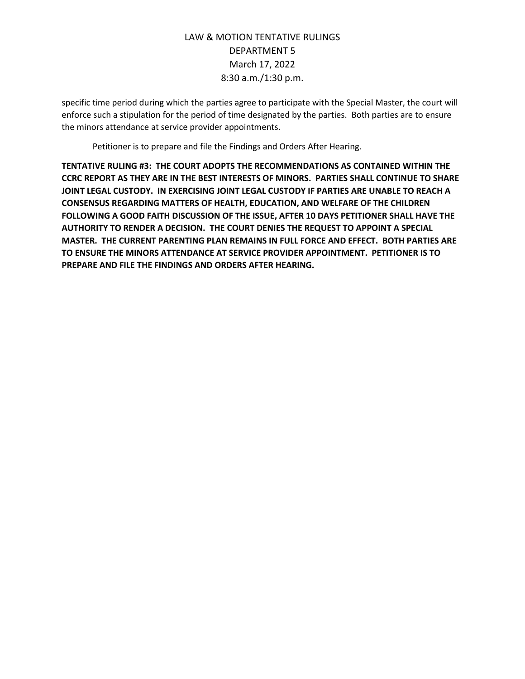specific time period during which the parties agree to participate with the Special Master, the court will enforce such a stipulation for the period of time designated by the parties. Both parties are to ensure the minors attendance at service provider appointments.

Petitioner is to prepare and file the Findings and Orders After Hearing.

**TENTATIVE RULING #3: THE COURT ADOPTS THE RECOMMENDATIONS AS CONTAINED WITHIN THE CCRC REPORT AS THEY ARE IN THE BEST INTERESTS OF MINORS. PARTIES SHALL CONTINUE TO SHARE JOINT LEGAL CUSTODY. IN EXERCISING JOINT LEGAL CUSTODY IF PARTIES ARE UNABLE TO REACH A CONSENSUS REGARDING MATTERS OF HEALTH, EDUCATION, AND WELFARE OF THE CHILDREN FOLLOWING A GOOD FAITH DISCUSSION OF THE ISSUE, AFTER 10 DAYS PETITIONER SHALL HAVE THE AUTHORITY TO RENDER A DECISION. THE COURT DENIES THE REQUEST TO APPOINT A SPECIAL MASTER. THE CURRENT PARENTING PLAN REMAINS IN FULL FORCE AND EFFECT. BOTH PARTIES ARE TO ENSURE THE MINORS ATTENDANCE AT SERVICE PROVIDER APPOINTMENT. PETITIONER IS TO PREPARE AND FILE THE FINDINGS AND ORDERS AFTER HEARING.**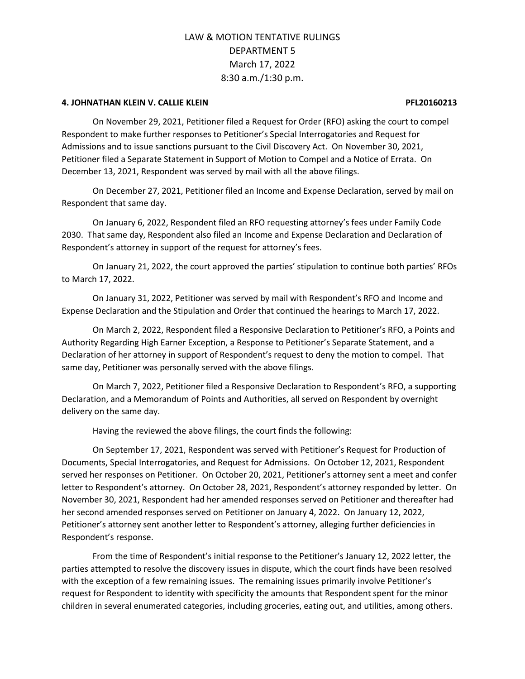#### **4. JOHNATHAN KLEIN V. CALLIE KLEIN PFL20160213**

On November 29, 2021, Petitioner filed a Request for Order (RFO) asking the court to compel Respondent to make further responses to Petitioner's Special Interrogatories and Request for Admissions and to issue sanctions pursuant to the Civil Discovery Act. On November 30, 2021, Petitioner filed a Separate Statement in Support of Motion to Compel and a Notice of Errata. On December 13, 2021, Respondent was served by mail with all the above filings.

On December 27, 2021, Petitioner filed an Income and Expense Declaration, served by mail on Respondent that same day.

On January 6, 2022, Respondent filed an RFO requesting attorney's fees under Family Code 2030. That same day, Respondent also filed an Income and Expense Declaration and Declaration of Respondent's attorney in support of the request for attorney's fees.

On January 21, 2022, the court approved the parties' stipulation to continue both parties' RFOs to March 17, 2022.

On January 31, 2022, Petitioner was served by mail with Respondent's RFO and Income and Expense Declaration and the Stipulation and Order that continued the hearings to March 17, 2022.

On March 2, 2022, Respondent filed a Responsive Declaration to Petitioner's RFO, a Points and Authority Regarding High Earner Exception, a Response to Petitioner's Separate Statement, and a Declaration of her attorney in support of Respondent's request to deny the motion to compel. That same day, Petitioner was personally served with the above filings.

On March 7, 2022, Petitioner filed a Responsive Declaration to Respondent's RFO, a supporting Declaration, and a Memorandum of Points and Authorities, all served on Respondent by overnight delivery on the same day.

Having the reviewed the above filings, the court finds the following:

On September 17, 2021, Respondent was served with Petitioner's Request for Production of Documents, Special Interrogatories, and Request for Admissions. On October 12, 2021, Respondent served her responses on Petitioner. On October 20, 2021, Petitioner's attorney sent a meet and confer letter to Respondent's attorney. On October 28, 2021, Respondent's attorney responded by letter. On November 30, 2021, Respondent had her amended responses served on Petitioner and thereafter had her second amended responses served on Petitioner on January 4, 2022. On January 12, 2022, Petitioner's attorney sent another letter to Respondent's attorney, alleging further deficiencies in Respondent's response.

From the time of Respondent's initial response to the Petitioner's January 12, 2022 letter, the parties attempted to resolve the discovery issues in dispute, which the court finds have been resolved with the exception of a few remaining issues. The remaining issues primarily involve Petitioner's request for Respondent to identity with specificity the amounts that Respondent spent for the minor children in several enumerated categories, including groceries, eating out, and utilities, among others.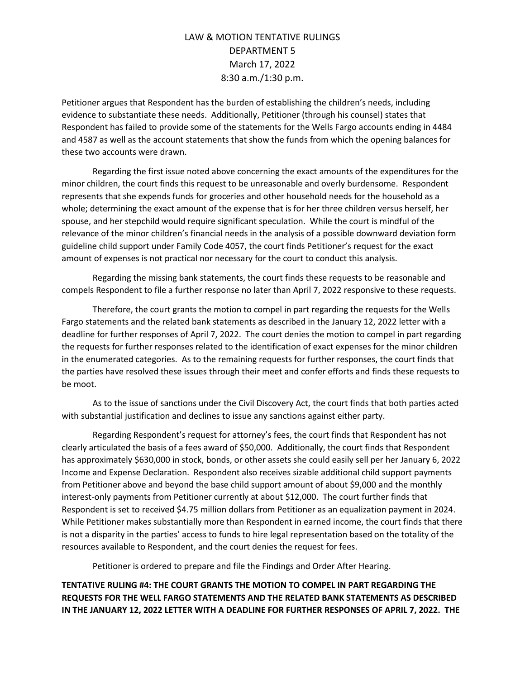Petitioner argues that Respondent has the burden of establishing the children's needs, including evidence to substantiate these needs. Additionally, Petitioner (through his counsel) states that Respondent has failed to provide some of the statements for the Wells Fargo accounts ending in 4484 and 4587 as well as the account statements that show the funds from which the opening balances for these two accounts were drawn.

Regarding the first issue noted above concerning the exact amounts of the expenditures for the minor children, the court finds this request to be unreasonable and overly burdensome. Respondent represents that she expends funds for groceries and other household needs for the household as a whole; determining the exact amount of the expense that is for her three children versus herself, her spouse, and her stepchild would require significant speculation. While the court is mindful of the relevance of the minor children's financial needs in the analysis of a possible downward deviation form guideline child support under Family Code 4057, the court finds Petitioner's request for the exact amount of expenses is not practical nor necessary for the court to conduct this analysis.

Regarding the missing bank statements, the court finds these requests to be reasonable and compels Respondent to file a further response no later than April 7, 2022 responsive to these requests.

Therefore, the court grants the motion to compel in part regarding the requests for the Wells Fargo statements and the related bank statements as described in the January 12, 2022 letter with a deadline for further responses of April 7, 2022. The court denies the motion to compel in part regarding the requests for further responses related to the identification of exact expenses for the minor children in the enumerated categories. As to the remaining requests for further responses, the court finds that the parties have resolved these issues through their meet and confer efforts and finds these requests to be moot.

As to the issue of sanctions under the Civil Discovery Act, the court finds that both parties acted with substantial justification and declines to issue any sanctions against either party.

Regarding Respondent's request for attorney's fees, the court finds that Respondent has not clearly articulated the basis of a fees award of \$50,000. Additionally, the court finds that Respondent has approximately \$630,000 in stock, bonds, or other assets she could easily sell per her January 6, 2022 Income and Expense Declaration. Respondent also receives sizable additional child support payments from Petitioner above and beyond the base child support amount of about \$9,000 and the monthly interest-only payments from Petitioner currently at about \$12,000. The court further finds that Respondent is set to received \$4.75 million dollars from Petitioner as an equalization payment in 2024. While Petitioner makes substantially more than Respondent in earned income, the court finds that there is not a disparity in the parties' access to funds to hire legal representation based on the totality of the resources available to Respondent, and the court denies the request for fees.

Petitioner is ordered to prepare and file the Findings and Order After Hearing.

**TENTATIVE RULING #4: THE COURT GRANTS THE MOTION TO COMPEL IN PART REGARDING THE REQUESTS FOR THE WELL FARGO STATEMENTS AND THE RELATED BANK STATEMENTS AS DESCRIBED IN THE JANUARY 12, 2022 LETTER WITH A DEADLINE FOR FURTHER RESPONSES OF APRIL 7, 2022. THE**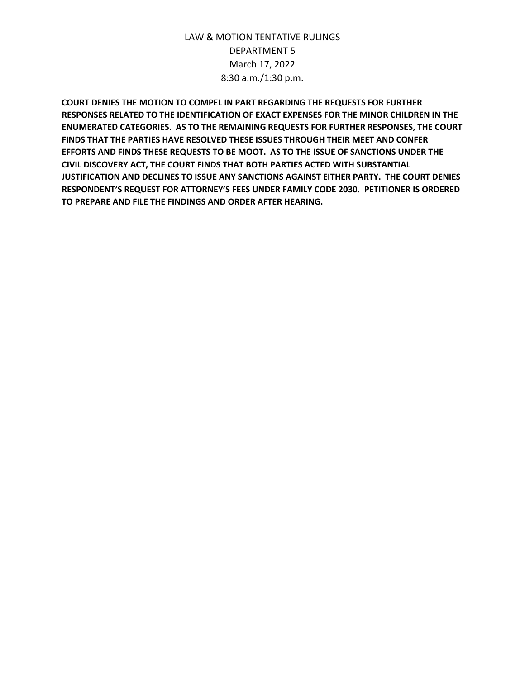**COURT DENIES THE MOTION TO COMPEL IN PART REGARDING THE REQUESTS FOR FURTHER RESPONSES RELATED TO THE IDENTIFICATION OF EXACT EXPENSES FOR THE MINOR CHILDREN IN THE ENUMERATED CATEGORIES. AS TO THE REMAINING REQUESTS FOR FURTHER RESPONSES, THE COURT FINDS THAT THE PARTIES HAVE RESOLVED THESE ISSUES THROUGH THEIR MEET AND CONFER EFFORTS AND FINDS THESE REQUESTS TO BE MOOT. AS TO THE ISSUE OF SANCTIONS UNDER THE CIVIL DISCOVERY ACT, THE COURT FINDS THAT BOTH PARTIES ACTED WITH SUBSTANTIAL JUSTIFICATION AND DECLINES TO ISSUE ANY SANCTIONS AGAINST EITHER PARTY. THE COURT DENIES RESPONDENT'S REQUEST FOR ATTORNEY'S FEES UNDER FAMILY CODE 2030. PETITIONER IS ORDERED TO PREPARE AND FILE THE FINDINGS AND ORDER AFTER HEARING.**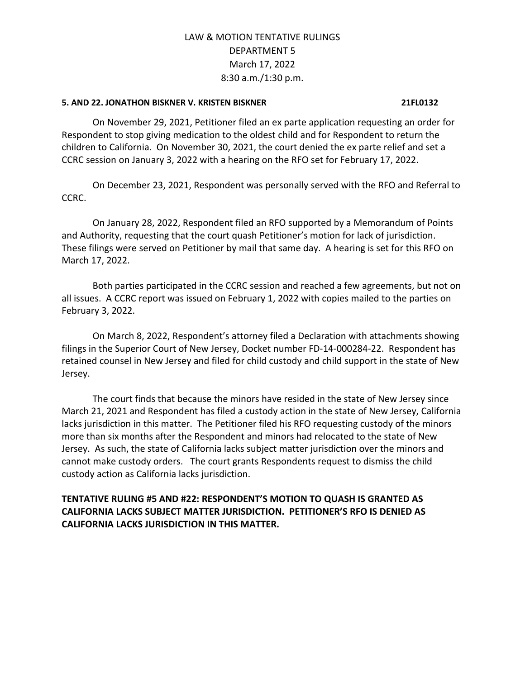### **5. AND 22. JONATHON BISKNER V. KRISTEN BISKNER 21FL0132**

On November 29, 2021, Petitioner filed an ex parte application requesting an order for Respondent to stop giving medication to the oldest child and for Respondent to return the children to California. On November 30, 2021, the court denied the ex parte relief and set a CCRC session on January 3, 2022 with a hearing on the RFO set for February 17, 2022.

On December 23, 2021, Respondent was personally served with the RFO and Referral to CCRC.

On January 28, 2022, Respondent filed an RFO supported by a Memorandum of Points and Authority, requesting that the court quash Petitioner's motion for lack of jurisdiction. These filings were served on Petitioner by mail that same day. A hearing is set for this RFO on March 17, 2022.

Both parties participated in the CCRC session and reached a few agreements, but not on all issues. A CCRC report was issued on February 1, 2022 with copies mailed to the parties on February 3, 2022.

On March 8, 2022, Respondent's attorney filed a Declaration with attachments showing filings in the Superior Court of New Jersey, Docket number FD-14-000284-22. Respondent has retained counsel in New Jersey and filed for child custody and child support in the state of New Jersey.

The court finds that because the minors have resided in the state of New Jersey since March 21, 2021 and Respondent has filed a custody action in the state of New Jersey, California lacks jurisdiction in this matter. The Petitioner filed his RFO requesting custody of the minors more than six months after the Respondent and minors had relocated to the state of New Jersey. As such, the state of California lacks subject matter jurisdiction over the minors and cannot make custody orders. The court grants Respondents request to dismiss the child custody action as California lacks jurisdiction.

### **TENTATIVE RULING #5 AND #22: RESPONDENT'S MOTION TO QUASH IS GRANTED AS CALIFORNIA LACKS SUBJECT MATTER JURISDICTION. PETITIONER'S RFO IS DENIED AS CALIFORNIA LACKS JURISDICTION IN THIS MATTER.**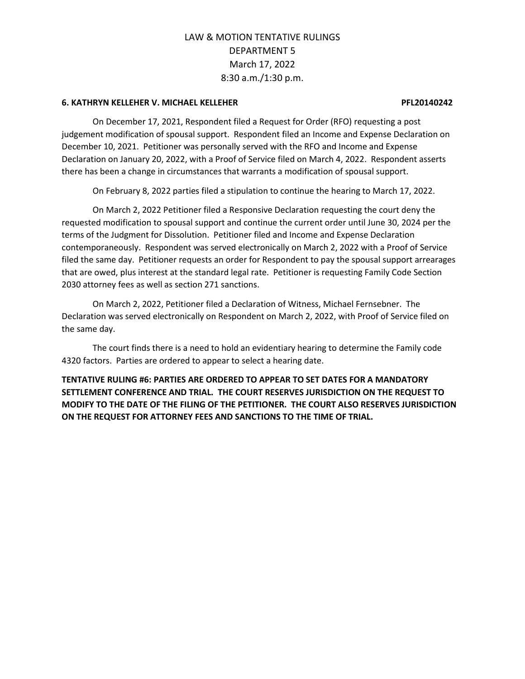#### **6. KATHRYN KELLEHER V. MICHAEL KELLEHER PFL20140242**

On December 17, 2021, Respondent filed a Request for Order (RFO) requesting a post judgement modification of spousal support. Respondent filed an Income and Expense Declaration on December 10, 2021. Petitioner was personally served with the RFO and Income and Expense Declaration on January 20, 2022, with a Proof of Service filed on March 4, 2022. Respondent asserts there has been a change in circumstances that warrants a modification of spousal support.

On February 8, 2022 parties filed a stipulation to continue the hearing to March 17, 2022.

On March 2, 2022 Petitioner filed a Responsive Declaration requesting the court deny the requested modification to spousal support and continue the current order until June 30, 2024 per the terms of the Judgment for Dissolution. Petitioner filed and Income and Expense Declaration contemporaneously. Respondent was served electronically on March 2, 2022 with a Proof of Service filed the same day. Petitioner requests an order for Respondent to pay the spousal support arrearages that are owed, plus interest at the standard legal rate. Petitioner is requesting Family Code Section 2030 attorney fees as well as section 271 sanctions.

On March 2, 2022, Petitioner filed a Declaration of Witness, Michael Fernsebner. The Declaration was served electronically on Respondent on March 2, 2022, with Proof of Service filed on the same day.

The court finds there is a need to hold an evidentiary hearing to determine the Family code 4320 factors. Parties are ordered to appear to select a hearing date.

**TENTATIVE RULING #6: PARTIES ARE ORDERED TO APPEAR TO SET DATES FOR A MANDATORY SETTLEMENT CONFERENCE AND TRIAL. THE COURT RESERVES JURISDICTION ON THE REQUEST TO MODIFY TO THE DATE OF THE FILING OF THE PETITIONER. THE COURT ALSO RESERVES JURISDICTION ON THE REQUEST FOR ATTORNEY FEES AND SANCTIONS TO THE TIME OF TRIAL.**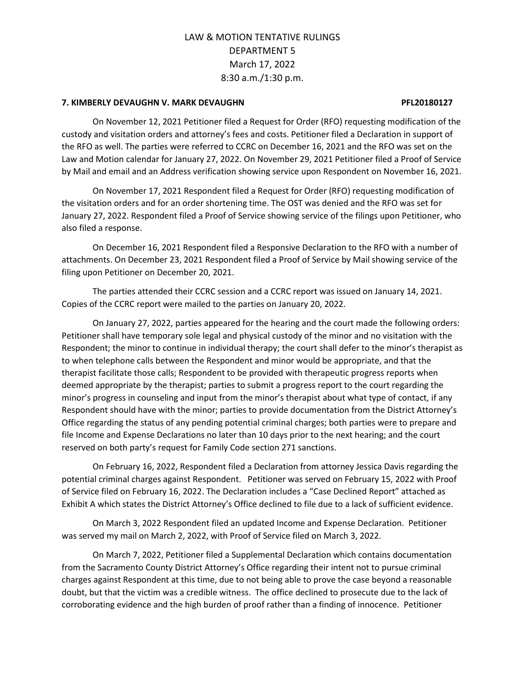### **7. KIMBERLY DEVAUGHN V. MARK DEVAUGHN PFL20180127**

On November 12, 2021 Petitioner filed a Request for Order (RFO) requesting modification of the custody and visitation orders and attorney's fees and costs. Petitioner filed a Declaration in support of the RFO as well. The parties were referred to CCRC on December 16, 2021 and the RFO was set on the Law and Motion calendar for January 27, 2022. On November 29, 2021 Petitioner filed a Proof of Service by Mail and email and an Address verification showing service upon Respondent on November 16, 2021.

On November 17, 2021 Respondent filed a Request for Order (RFO) requesting modification of the visitation orders and for an order shortening time. The OST was denied and the RFO was set for January 27, 2022. Respondent filed a Proof of Service showing service of the filings upon Petitioner, who also filed a response.

On December 16, 2021 Respondent filed a Responsive Declaration to the RFO with a number of attachments. On December 23, 2021 Respondent filed a Proof of Service by Mail showing service of the filing upon Petitioner on December 20, 2021.

The parties attended their CCRC session and a CCRC report was issued on January 14, 2021. Copies of the CCRC report were mailed to the parties on January 20, 2022.

On January 27, 2022, parties appeared for the hearing and the court made the following orders: Petitioner shall have temporary sole legal and physical custody of the minor and no visitation with the Respondent; the minor to continue in individual therapy; the court shall defer to the minor's therapist as to when telephone calls between the Respondent and minor would be appropriate, and that the therapist facilitate those calls; Respondent to be provided with therapeutic progress reports when deemed appropriate by the therapist; parties to submit a progress report to the court regarding the minor's progress in counseling and input from the minor's therapist about what type of contact, if any Respondent should have with the minor; parties to provide documentation from the District Attorney's Office regarding the status of any pending potential criminal charges; both parties were to prepare and file Income and Expense Declarations no later than 10 days prior to the next hearing; and the court reserved on both party's request for Family Code section 271 sanctions.

On February 16, 2022, Respondent filed a Declaration from attorney Jessica Davis regarding the potential criminal charges against Respondent. Petitioner was served on February 15, 2022 with Proof of Service filed on February 16, 2022. The Declaration includes a "Case Declined Report" attached as Exhibit A which states the District Attorney's Office declined to file due to a lack of sufficient evidence.

On March 3, 2022 Respondent filed an updated Income and Expense Declaration. Petitioner was served my mail on March 2, 2022, with Proof of Service filed on March 3, 2022.

On March 7, 2022, Petitioner filed a Supplemental Declaration which contains documentation from the Sacramento County District Attorney's Office regarding their intent not to pursue criminal charges against Respondent at this time, due to not being able to prove the case beyond a reasonable doubt, but that the victim was a credible witness. The office declined to prosecute due to the lack of corroborating evidence and the high burden of proof rather than a finding of innocence. Petitioner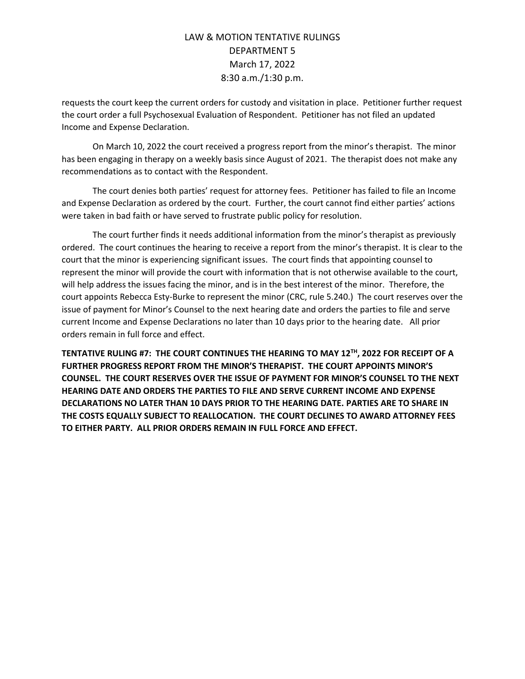requests the court keep the current orders for custody and visitation in place. Petitioner further request the court order a full Psychosexual Evaluation of Respondent. Petitioner has not filed an updated Income and Expense Declaration.

On March 10, 2022 the court received a progress report from the minor's therapist. The minor has been engaging in therapy on a weekly basis since August of 2021. The therapist does not make any recommendations as to contact with the Respondent.

The court denies both parties' request for attorney fees. Petitioner has failed to file an Income and Expense Declaration as ordered by the court. Further, the court cannot find either parties' actions were taken in bad faith or have served to frustrate public policy for resolution.

The court further finds it needs additional information from the minor's therapist as previously ordered. The court continues the hearing to receive a report from the minor's therapist. It is clear to the court that the minor is experiencing significant issues. The court finds that appointing counsel to represent the minor will provide the court with information that is not otherwise available to the court, will help address the issues facing the minor, and is in the best interest of the minor. Therefore, the court appoints Rebecca Esty-Burke to represent the minor (CRC, rule 5.240.) The court reserves over the issue of payment for Minor's Counsel to the next hearing date and orders the parties to file and serve current Income and Expense Declarations no later than 10 days prior to the hearing date. All prior orders remain in full force and effect.

**TENTATIVE RULING #7: THE COURT CONTINUES THE HEARING TO MAY 12TH, 2022 FOR RECEIPT OF A FURTHER PROGRESS REPORT FROM THE MINOR'S THERAPIST. THE COURT APPOINTS MINOR'S COUNSEL. THE COURT RESERVES OVER THE ISSUE OF PAYMENT FOR MINOR'S COUNSEL TO THE NEXT HEARING DATE AND ORDERS THE PARTIES TO FILE AND SERVE CURRENT INCOME AND EXPENSE DECLARATIONS NO LATER THAN 10 DAYS PRIOR TO THE HEARING DATE. PARTIES ARE TO SHARE IN THE COSTS EQUALLY SUBJECT TO REALLOCATION. THE COURT DECLINES TO AWARD ATTORNEY FEES TO EITHER PARTY. ALL PRIOR ORDERS REMAIN IN FULL FORCE AND EFFECT.**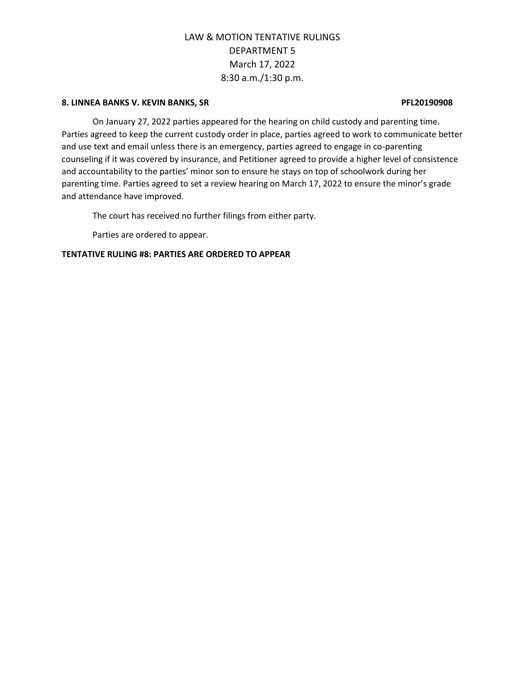#### **8. LINNEA BANKS V. KEVIN BANKS, SR PFL20190908**

On January 27, 2022 parties appeared for the hearing on child custody and parenting time. Parties agreed to keep the current custody order in place, parties agreed to work to communicate better and use text and email unless there is an emergency, parties agreed to engage in co-parenting counseling if it was covered by insurance, and Petitioner agreed to provide a higher level of consistence and accountability to the parties' minor son to ensure he stays on top of schoolwork during her parenting time. Parties agreed to set a review hearing on March 17, 2022 to ensure the minor's grade and attendance have improved.

The court has received no further filings from either party.

Parties are ordered to appear.

### **TENTATIVE RULING #8: PARTIES ARE ORDERED TO APPEAR**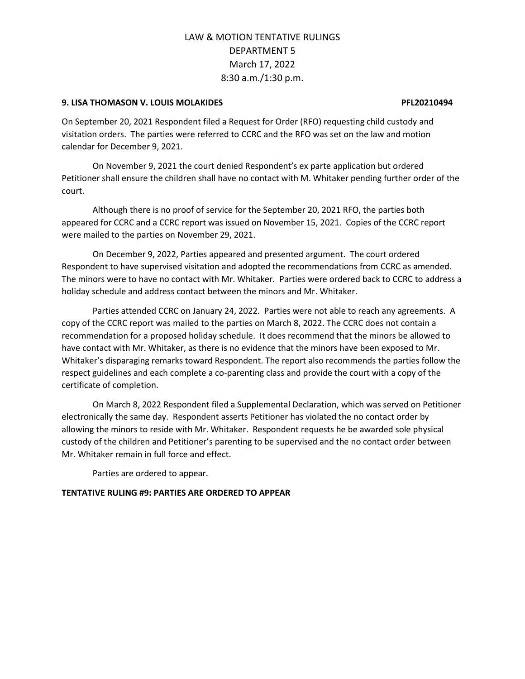### **9. LISA THOMASON V. LOUIS MOLAKIDES PFL20210494**

On September 20, 2021 Respondent filed a Request for Order (RFO) requesting child custody and visitation orders. The parties were referred to CCRC and the RFO was set on the law and motion calendar for December 9, 2021.

On November 9, 2021 the court denied Respondent's ex parte application but ordered Petitioner shall ensure the children shall have no contact with M. Whitaker pending further order of the court.

Although there is no proof of service for the September 20, 2021 RFO, the parties both appeared for CCRC and a CCRC report was issued on November 15, 2021. Copies of the CCRC report were mailed to the parties on November 29, 2021.

On December 9, 2022, Parties appeared and presented argument. The court ordered Respondent to have supervised visitation and adopted the recommendations from CCRC as amended. The minors were to have no contact with Mr. Whitaker. Parties were ordered back to CCRC to address a holiday schedule and address contact between the minors and Mr. Whitaker.

Parties attended CCRC on January 24, 2022. Parties were not able to reach any agreements. A copy of the CCRC report was mailed to the parties on March 8, 2022. The CCRC does not contain a recommendation for a proposed holiday schedule. It does recommend that the minors be allowed to have contact with Mr. Whitaker, as there is no evidence that the minors have been exposed to Mr. Whitaker's disparaging remarks toward Respondent. The report also recommends the parties follow the respect guidelines and each complete a co-parenting class and provide the court with a copy of the certificate of completion.

On March 8, 2022 Respondent filed a Supplemental Declaration, which was served on Petitioner electronically the same day. Respondent asserts Petitioner has violated the no contact order by allowing the minors to reside with Mr. Whitaker. Respondent requests he be awarded sole physical custody of the children and Petitioner's parenting to be supervised and the no contact order between Mr. Whitaker remain in full force and effect.

Parties are ordered to appear.

### **TENTATIVE RULING #9: PARTIES ARE ORDERED TO APPEAR**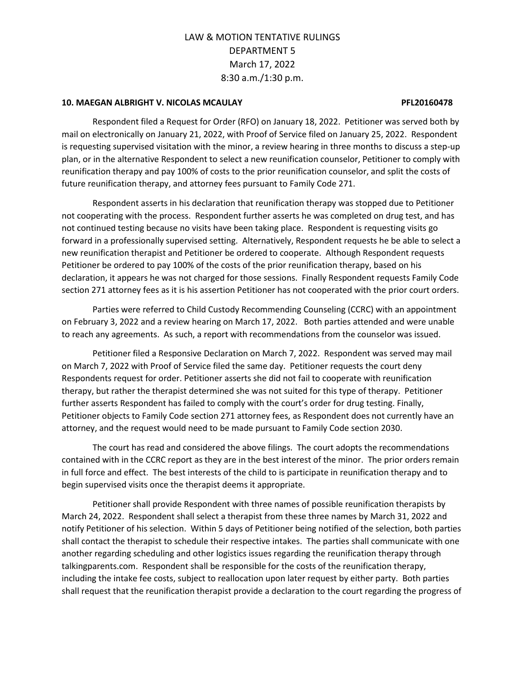#### **10. MAEGAN ALBRIGHT V. NICOLAS MCAULAY PFL20160478**

Respondent filed a Request for Order (RFO) on January 18, 2022. Petitioner was served both by mail on electronically on January 21, 2022, with Proof of Service filed on January 25, 2022. Respondent is requesting supervised visitation with the minor, a review hearing in three months to discuss a step-up plan, or in the alternative Respondent to select a new reunification counselor, Petitioner to comply with reunification therapy and pay 100% of costs to the prior reunification counselor, and split the costs of future reunification therapy, and attorney fees pursuant to Family Code 271.

Respondent asserts in his declaration that reunification therapy was stopped due to Petitioner not cooperating with the process. Respondent further asserts he was completed on drug test, and has not continued testing because no visits have been taking place. Respondent is requesting visits go forward in a professionally supervised setting. Alternatively, Respondent requests he be able to select a new reunification therapist and Petitioner be ordered to cooperate. Although Respondent requests Petitioner be ordered to pay 100% of the costs of the prior reunification therapy, based on his declaration, it appears he was not charged for those sessions. Finally Respondent requests Family Code section 271 attorney fees as it is his assertion Petitioner has not cooperated with the prior court orders.

Parties were referred to Child Custody Recommending Counseling (CCRC) with an appointment on February 3, 2022 and a review hearing on March 17, 2022. Both parties attended and were unable to reach any agreements. As such, a report with recommendations from the counselor was issued.

Petitioner filed a Responsive Declaration on March 7, 2022. Respondent was served may mail on March 7, 2022 with Proof of Service filed the same day. Petitioner requests the court deny Respondents request for order. Petitioner asserts she did not fail to cooperate with reunification therapy, but rather the therapist determined she was not suited for this type of therapy. Petitioner further asserts Respondent has failed to comply with the court's order for drug testing. Finally, Petitioner objects to Family Code section 271 attorney fees, as Respondent does not currently have an attorney, and the request would need to be made pursuant to Family Code section 2030.

The court has read and considered the above filings. The court adopts the recommendations contained with in the CCRC report as they are in the best interest of the minor. The prior orders remain in full force and effect. The best interests of the child to is participate in reunification therapy and to begin supervised visits once the therapist deems it appropriate.

Petitioner shall provide Respondent with three names of possible reunification therapists by March 24, 2022. Respondent shall select a therapist from these three names by March 31, 2022 and notify Petitioner of his selection. Within 5 days of Petitioner being notified of the selection, both parties shall contact the therapist to schedule their respective intakes. The parties shall communicate with one another regarding scheduling and other logistics issues regarding the reunification therapy through talkingparents.com. Respondent shall be responsible for the costs of the reunification therapy, including the intake fee costs, subject to reallocation upon later request by either party. Both parties shall request that the reunification therapist provide a declaration to the court regarding the progress of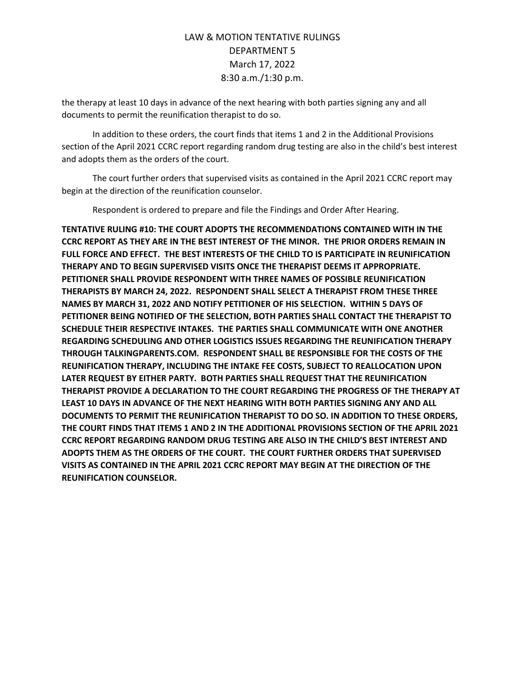the therapy at least 10 days in advance of the next hearing with both parties signing any and all documents to permit the reunification therapist to do so.

In addition to these orders, the court finds that items 1 and 2 in the Additional Provisions section of the April 2021 CCRC report regarding random drug testing are also in the child's best interest and adopts them as the orders of the court.

The court further orders that supervised visits as contained in the April 2021 CCRC report may begin at the direction of the reunification counselor.

Respondent is ordered to prepare and file the Findings and Order After Hearing.

**TENTATIVE RULING #10: THE COURT ADOPTS THE RECOMMENDATIONS CONTAINED WITH IN THE CCRC REPORT AS THEY ARE IN THE BEST INTEREST OF THE MINOR. THE PRIOR ORDERS REMAIN IN FULL FORCE AND EFFECT. THE BEST INTERESTS OF THE CHILD TO IS PARTICIPATE IN REUNIFICATION THERAPY AND TO BEGIN SUPERVISED VISITS ONCE THE THERAPIST DEEMS IT APPROPRIATE. PETITIONER SHALL PROVIDE RESPONDENT WITH THREE NAMES OF POSSIBLE REUNIFICATION THERAPISTS BY MARCH 24, 2022. RESPONDENT SHALL SELECT A THERAPIST FROM THESE THREE NAMES BY MARCH 31, 2022 AND NOTIFY PETITIONER OF HIS SELECTION. WITHIN 5 DAYS OF PETITIONER BEING NOTIFIED OF THE SELECTION, BOTH PARTIES SHALL CONTACT THE THERAPIST TO SCHEDULE THEIR RESPECTIVE INTAKES. THE PARTIES SHALL COMMUNICATE WITH ONE ANOTHER REGARDING SCHEDULING AND OTHER LOGISTICS ISSUES REGARDING THE REUNIFICATION THERAPY THROUGH TALKINGPARENTS.COM. RESPONDENT SHALL BE RESPONSIBLE FOR THE COSTS OF THE REUNIFICATION THERAPY, INCLUDING THE INTAKE FEE COSTS, SUBJECT TO REALLOCATION UPON LATER REQUEST BY EITHER PARTY. BOTH PARTIES SHALL REQUEST THAT THE REUNIFICATION THERAPIST PROVIDE A DECLARATION TO THE COURT REGARDING THE PROGRESS OF THE THERAPY AT LEAST 10 DAYS IN ADVANCE OF THE NEXT HEARING WITH BOTH PARTIES SIGNING ANY AND ALL DOCUMENTS TO PERMIT THE REUNIFICATION THERAPIST TO DO SO. IN ADDITION TO THESE ORDERS, THE COURT FINDS THAT ITEMS 1 AND 2 IN THE ADDITIONAL PROVISIONS SECTION OF THE APRIL 2021 CCRC REPORT REGARDING RANDOM DRUG TESTING ARE ALSO IN THE CHILD'S BEST INTEREST AND ADOPTS THEM AS THE ORDERS OF THE COURT. THE COURT FURTHER ORDERS THAT SUPERVISED VISITS AS CONTAINED IN THE APRIL 2021 CCRC REPORT MAY BEGIN AT THE DIRECTION OF THE REUNIFICATION COUNSELOR.**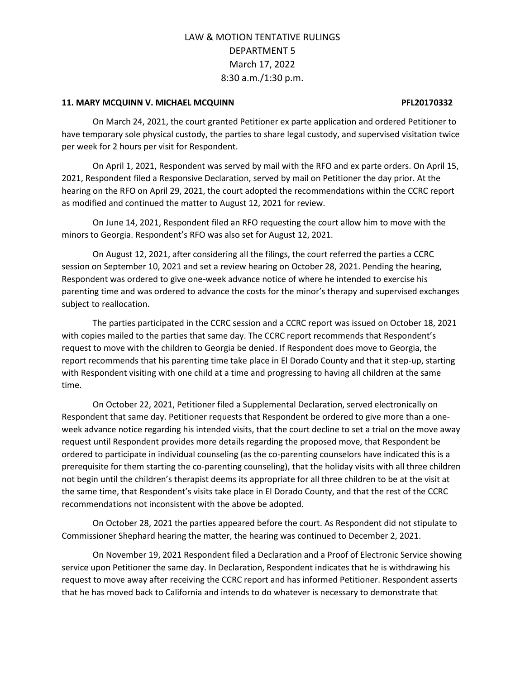#### **11. MARY MCQUINN V. MICHAEL MCQUINN PFL20170332**

On March 24, 2021, the court granted Petitioner ex parte application and ordered Petitioner to have temporary sole physical custody, the parties to share legal custody, and supervised visitation twice per week for 2 hours per visit for Respondent.

On April 1, 2021, Respondent was served by mail with the RFO and ex parte orders. On April 15, 2021, Respondent filed a Responsive Declaration, served by mail on Petitioner the day prior. At the hearing on the RFO on April 29, 2021, the court adopted the recommendations within the CCRC report as modified and continued the matter to August 12, 2021 for review.

On June 14, 2021, Respondent filed an RFO requesting the court allow him to move with the minors to Georgia. Respondent's RFO was also set for August 12, 2021.

On August 12, 2021, after considering all the filings, the court referred the parties a CCRC session on September 10, 2021 and set a review hearing on October 28, 2021. Pending the hearing, Respondent was ordered to give one-week advance notice of where he intended to exercise his parenting time and was ordered to advance the costs for the minor's therapy and supervised exchanges subject to reallocation.

The parties participated in the CCRC session and a CCRC report was issued on October 18, 2021 with copies mailed to the parties that same day. The CCRC report recommends that Respondent's request to move with the children to Georgia be denied. If Respondent does move to Georgia, the report recommends that his parenting time take place in El Dorado County and that it step-up, starting with Respondent visiting with one child at a time and progressing to having all children at the same time.

On October 22, 2021, Petitioner filed a Supplemental Declaration, served electronically on Respondent that same day. Petitioner requests that Respondent be ordered to give more than a oneweek advance notice regarding his intended visits, that the court decline to set a trial on the move away request until Respondent provides more details regarding the proposed move, that Respondent be ordered to participate in individual counseling (as the co-parenting counselors have indicated this is a prerequisite for them starting the co-parenting counseling), that the holiday visits with all three children not begin until the children's therapist deems its appropriate for all three children to be at the visit at the same time, that Respondent's visits take place in El Dorado County, and that the rest of the CCRC recommendations not inconsistent with the above be adopted.

On October 28, 2021 the parties appeared before the court. As Respondent did not stipulate to Commissioner Shephard hearing the matter, the hearing was continued to December 2, 2021.

On November 19, 2021 Respondent filed a Declaration and a Proof of Electronic Service showing service upon Petitioner the same day. In Declaration, Respondent indicates that he is withdrawing his request to move away after receiving the CCRC report and has informed Petitioner. Respondent asserts that he has moved back to California and intends to do whatever is necessary to demonstrate that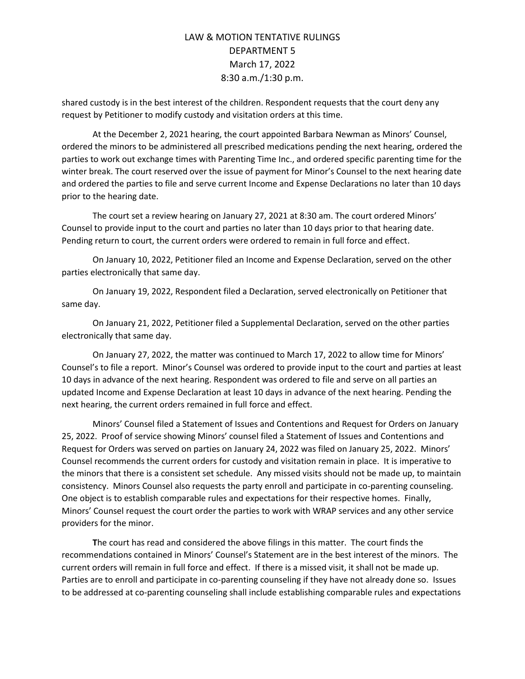shared custody is in the best interest of the children. Respondent requests that the court deny any request by Petitioner to modify custody and visitation orders at this time.

At the December 2, 2021 hearing, the court appointed Barbara Newman as Minors' Counsel, ordered the minors to be administered all prescribed medications pending the next hearing, ordered the parties to work out exchange times with Parenting Time Inc., and ordered specific parenting time for the winter break. The court reserved over the issue of payment for Minor's Counsel to the next hearing date and ordered the parties to file and serve current Income and Expense Declarations no later than 10 days prior to the hearing date.

The court set a review hearing on January 27, 2021 at 8:30 am. The court ordered Minors' Counsel to provide input to the court and parties no later than 10 days prior to that hearing date. Pending return to court, the current orders were ordered to remain in full force and effect.

On January 10, 2022, Petitioner filed an Income and Expense Declaration, served on the other parties electronically that same day.

On January 19, 2022, Respondent filed a Declaration, served electronically on Petitioner that same day.

On January 21, 2022, Petitioner filed a Supplemental Declaration, served on the other parties electronically that same day.

On January 27, 2022, the matter was continued to March 17, 2022 to allow time for Minors' Counsel's to file a report. Minor's Counsel was ordered to provide input to the court and parties at least 10 days in advance of the next hearing. Respondent was ordered to file and serve on all parties an updated Income and Expense Declaration at least 10 days in advance of the next hearing. Pending the next hearing, the current orders remained in full force and effect.

Minors' Counsel filed a Statement of Issues and Contentions and Request for Orders on January 25, 2022. Proof of service showing Minors' counsel filed a Statement of Issues and Contentions and Request for Orders was served on parties on January 24, 2022 was filed on January 25, 2022. Minors' Counsel recommends the current orders for custody and visitation remain in place. It is imperative to the minors that there is a consistent set schedule. Any missed visits should not be made up, to maintain consistency. Minors Counsel also requests the party enroll and participate in co-parenting counseling. One object is to establish comparable rules and expectations for their respective homes. Finally, Minors' Counsel request the court order the parties to work with WRAP services and any other service providers for the minor.

**T**he court has read and considered the above filings in this matter. The court finds the recommendations contained in Minors' Counsel's Statement are in the best interest of the minors. The current orders will remain in full force and effect. If there is a missed visit, it shall not be made up. Parties are to enroll and participate in co-parenting counseling if they have not already done so. Issues to be addressed at co-parenting counseling shall include establishing comparable rules and expectations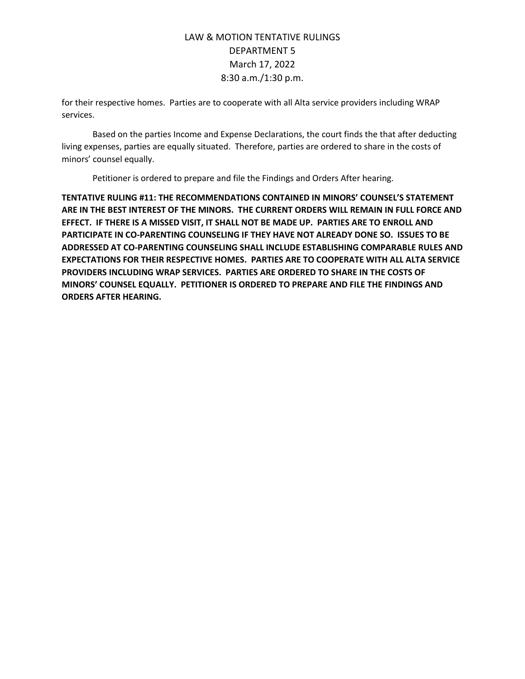for their respective homes. Parties are to cooperate with all Alta service providers including WRAP services.

Based on the parties Income and Expense Declarations, the court finds the that after deducting living expenses, parties are equally situated. Therefore, parties are ordered to share in the costs of minors' counsel equally.

Petitioner is ordered to prepare and file the Findings and Orders After hearing.

**TENTATIVE RULING #11: THE RECOMMENDATIONS CONTAINED IN MINORS' COUNSEL'S STATEMENT ARE IN THE BEST INTEREST OF THE MINORS. THE CURRENT ORDERS WILL REMAIN IN FULL FORCE AND EFFECT. IF THERE IS A MISSED VISIT, IT SHALL NOT BE MADE UP. PARTIES ARE TO ENROLL AND PARTICIPATE IN CO-PARENTING COUNSELING IF THEY HAVE NOT ALREADY DONE SO. ISSUES TO BE ADDRESSED AT CO-PARENTING COUNSELING SHALL INCLUDE ESTABLISHING COMPARABLE RULES AND EXPECTATIONS FOR THEIR RESPECTIVE HOMES. PARTIES ARE TO COOPERATE WITH ALL ALTA SERVICE PROVIDERS INCLUDING WRAP SERVICES. PARTIES ARE ORDERED TO SHARE IN THE COSTS OF MINORS' COUNSEL EQUALLY. PETITIONER IS ORDERED TO PREPARE AND FILE THE FINDINGS AND ORDERS AFTER HEARING.**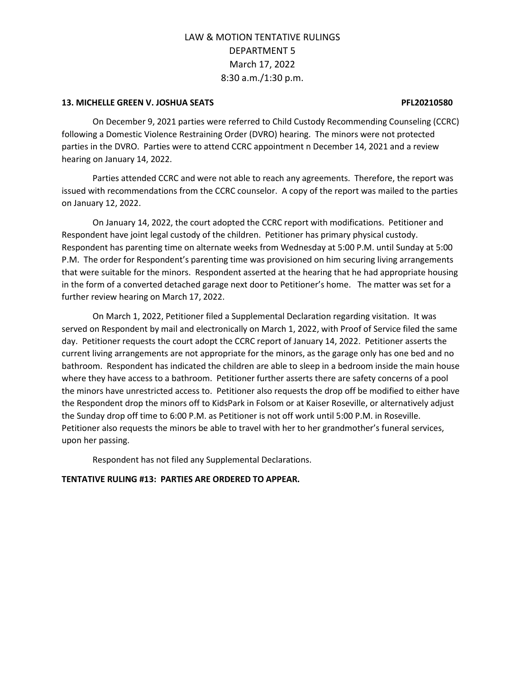#### **13. MICHELLE GREEN V. JOSHUA SEATS PFL20210580**

On December 9, 2021 parties were referred to Child Custody Recommending Counseling (CCRC) following a Domestic Violence Restraining Order (DVRO) hearing. The minors were not protected parties in the DVRO. Parties were to attend CCRC appointment n December 14, 2021 and a review hearing on January 14, 2022.

Parties attended CCRC and were not able to reach any agreements. Therefore, the report was issued with recommendations from the CCRC counselor. A copy of the report was mailed to the parties on January 12, 2022.

On January 14, 2022, the court adopted the CCRC report with modifications. Petitioner and Respondent have joint legal custody of the children. Petitioner has primary physical custody. Respondent has parenting time on alternate weeks from Wednesday at 5:00 P.M. until Sunday at 5:00 P.M. The order for Respondent's parenting time was provisioned on him securing living arrangements that were suitable for the minors. Respondent asserted at the hearing that he had appropriate housing in the form of a converted detached garage next door to Petitioner's home. The matter was set for a further review hearing on March 17, 2022.

On March 1, 2022, Petitioner filed a Supplemental Declaration regarding visitation. It was served on Respondent by mail and electronically on March 1, 2022, with Proof of Service filed the same day. Petitioner requests the court adopt the CCRC report of January 14, 2022. Petitioner asserts the current living arrangements are not appropriate for the minors, as the garage only has one bed and no bathroom. Respondent has indicated the children are able to sleep in a bedroom inside the main house where they have access to a bathroom. Petitioner further asserts there are safety concerns of a pool the minors have unrestricted access to. Petitioner also requests the drop off be modified to either have the Respondent drop the minors off to KidsPark in Folsom or at Kaiser Roseville, or alternatively adjust the Sunday drop off time to 6:00 P.M. as Petitioner is not off work until 5:00 P.M. in Roseville. Petitioner also requests the minors be able to travel with her to her grandmother's funeral services, upon her passing.

Respondent has not filed any Supplemental Declarations.

### **TENTATIVE RULING #13: PARTIES ARE ORDERED TO APPEAR.**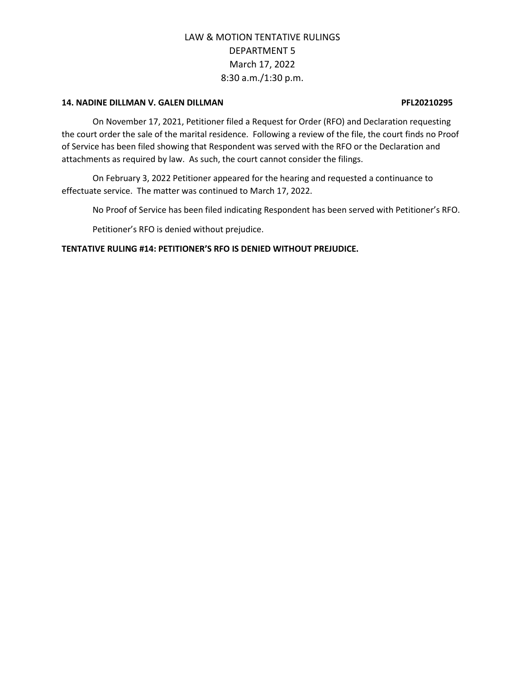#### **14. NADINE DILLMAN V. GALEN DILLMAN PFL20210295**

On November 17, 2021, Petitioner filed a Request for Order (RFO) and Declaration requesting the court order the sale of the marital residence. Following a review of the file, the court finds no Proof of Service has been filed showing that Respondent was served with the RFO or the Declaration and attachments as required by law. As such, the court cannot consider the filings.

On February 3, 2022 Petitioner appeared for the hearing and requested a continuance to effectuate service. The matter was continued to March 17, 2022.

No Proof of Service has been filed indicating Respondent has been served with Petitioner's RFO.

Petitioner's RFO is denied without prejudice.

**TENTATIVE RULING #14: PETITIONER'S RFO IS DENIED WITHOUT PREJUDICE.**